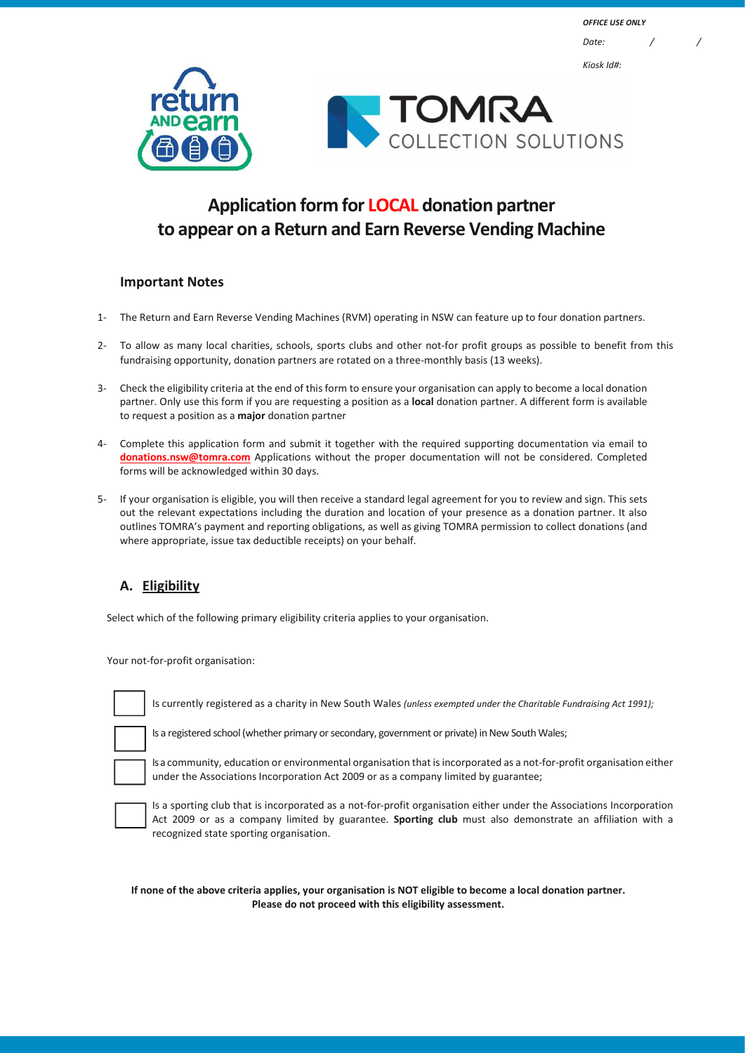

# Application form for LOCAL donation partner to appear on a Return and Earn Reverse Vending Machine

## Important Notes

- 1- The Return and Earn Reverse Vending Machines (RVM) operating in NSW can feature up to four donation partners.
- 2- To allow as many local charities, schools, sports clubs and other not-for profit groups as possible to benefit from this fundraising opportunity, donation partners are rotated on a three-monthly basis (13 weeks).
- 3- Check the eligibility criteria at the end of this form to ensure your organisation can apply to become a local donation partner. Only use this form if you are requesting a position as a local donation partner. A different form is available to request a position as a major donation partner
- 4- Complete this application form and submit it together with the required supporting documentation via email to donations.nsw@tomra.com Applications without the proper documentation will not be considered. Completed forms will be acknowledged within 30 days.
- 5- If your organisation is eligible, you will then receive a standard legal agreement for you to review and sign. This sets out the relevant expectations including the duration and location of your presence as a donation partner. It also outlines TOMRA's payment and reporting obligations, as well as giving TOMRA permission to collect donations (and where appropriate, issue tax deductible receipts) on your behalf.

## A. Eligibility

Select which of the following primary eligibility criteria applies to your organisation.

Your not-for-profit organisation:

Is currently registered as a charity in New South Wales (unless exempted under the Charitable Fundraising Act 1991);

Is a registered school (whether primary or secondary, government or private) in New South Wales;



Is a community, education or environmental organisation that is incorporated as a not-for-profit organisation either under the Associations Incorporation Act 2009 or as a company limited by guarantee;



Is a sporting club that is incorporated as a not-for-profit organisation either under the Associations Incorporation Act 2009 or as a company limited by guarantee. Sporting club must also demonstrate an affiliation with a recognized state sporting organisation.

If none of the above criteria applies, your organisation is NOT eligible to become a local donation partner. Please do not proceed with this eligibility assessment.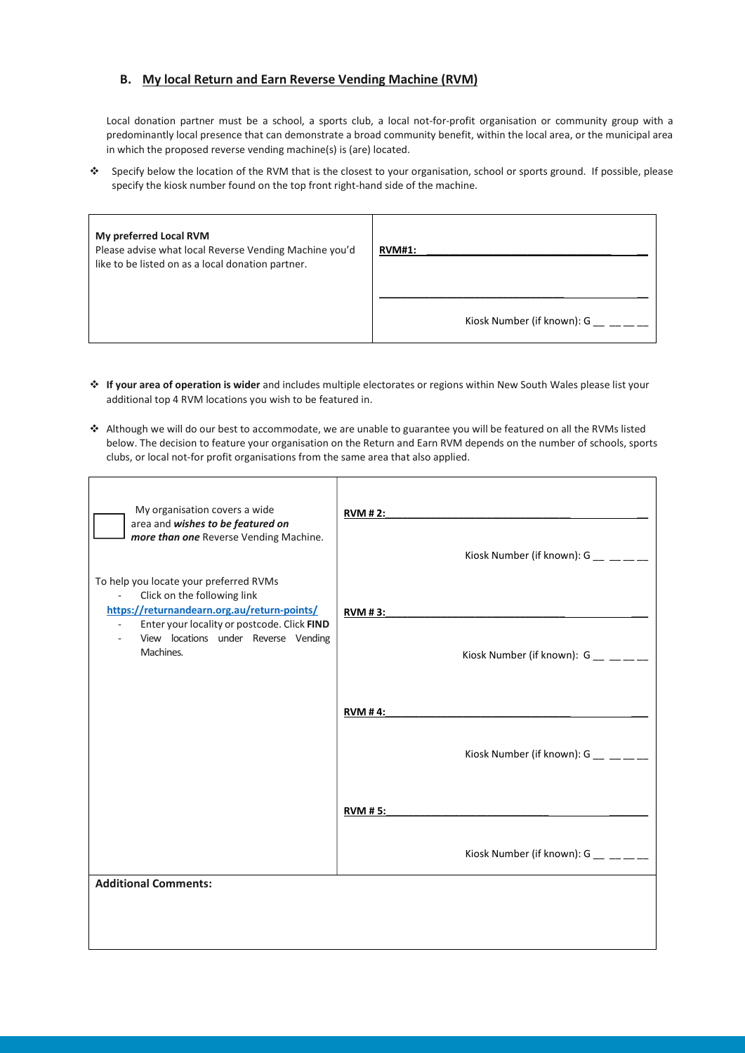#### B. My local Return and Earn Reverse Vending Machine (RVM)

Local donation partner must be a school, a sports club, a local not-for-profit organisation or community group with a predominantly local presence that can demonstrate a broad community benefit, within the local area, or the municipal area in which the proposed reverse vending machine(s) is (are) located.

 Specify below the location of the RVM that is the closest to your organisation, school or sports ground. If possible, please specify the kiosk number found on the top front right-hand side of the machine.

| My preferred Local RVM<br>Please advise what local Reverse Vending Machine you'd<br>like to be listed on as a local donation partner. | <b>RVM#1:</b>              |
|---------------------------------------------------------------------------------------------------------------------------------------|----------------------------|
|                                                                                                                                       | Kiosk Number (if known): G |

- If your area of operation is wider and includes multiple electorates or regions within New South Wales please list your additional top 4 RVM locations you wish to be featured in.
- Although we will do our best to accommodate, we are unable to guarantee you will be featured on all the RVMs listed below. The decision to feature your organisation on the Return and Earn RVM depends on the number of schools, sports clubs, or local not-for profit organisations from the same area that also applied.

| My organisation covers a wide<br>area and wishes to be featured on<br>more than one Reverse Vending Machine.                                                                                                                             | <b>RVM # 2:</b><br>Kiosk Number (if known): $G_$ __ __ __ __     |
|------------------------------------------------------------------------------------------------------------------------------------------------------------------------------------------------------------------------------------------|------------------------------------------------------------------|
| To help you locate your preferred RVMs<br>Click on the following link<br>$\mathbf{r}$<br>https://returnandearn.org.au/return-points/<br>Enter your locality or postcode. Click FIND<br>View locations under Reverse Vending<br>Machines. | <b>RVM #3:</b><br>Kiosk Number (if known): $G_$ __ _ _ _         |
|                                                                                                                                                                                                                                          | <b>RVM #4:</b><br>Kiosk Number (if known): $G_$ __ _ _ _         |
|                                                                                                                                                                                                                                          | <b>RVM # 5:</b><br>Kiosk Number (if known): $G_{\text{max}} = 1$ |
| <b>Additional Comments:</b>                                                                                                                                                                                                              |                                                                  |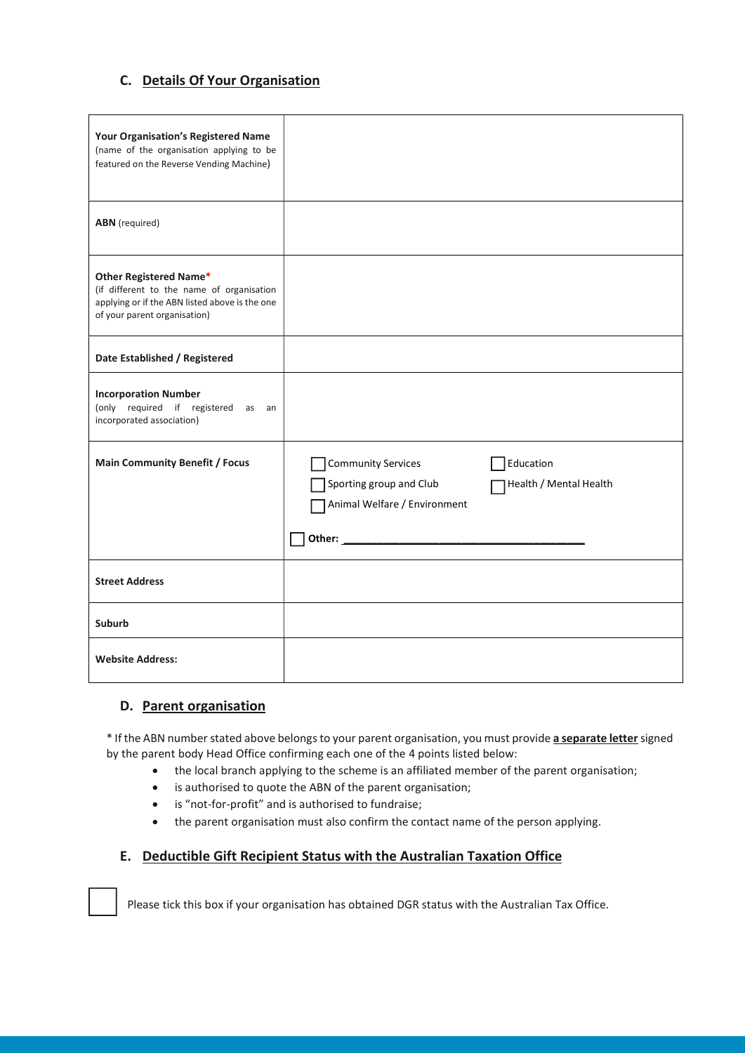## C. Details Of Your Organisation

| <b>Your Organisation's Registered Name</b><br>(name of the organisation applying to be<br>featured on the Reverse Vending Machine)                    |                                                                                                |                                     |
|-------------------------------------------------------------------------------------------------------------------------------------------------------|------------------------------------------------------------------------------------------------|-------------------------------------|
| <b>ABN</b> (required)                                                                                                                                 |                                                                                                |                                     |
| Other Registered Name*<br>(if different to the name of organisation<br>applying or if the ABN listed above is the one<br>of your parent organisation) |                                                                                                |                                     |
| Date Established / Registered                                                                                                                         |                                                                                                |                                     |
| <b>Incorporation Number</b><br>(only required if registered as an<br>incorporated association)                                                        |                                                                                                |                                     |
| <b>Main Community Benefit / Focus</b>                                                                                                                 | <b>Community Services</b><br>Sporting group and Club<br>Animal Welfare / Environment<br>Other: | Education<br>Health / Mental Health |
| <b>Street Address</b>                                                                                                                                 |                                                                                                |                                     |
| <b>Suburb</b>                                                                                                                                         |                                                                                                |                                     |
| <b>Website Address:</b>                                                                                                                               |                                                                                                |                                     |

### D. Parent organisation

\* If the ABN number stated above belongs to your parent organisation, you must provide a separate letter signed by the parent body Head Office confirming each one of the 4 points listed below:

- the local branch applying to the scheme is an affiliated member of the parent organisation;
- is authorised to quote the ABN of the parent organisation;
- is "not-for-profit" and is authorised to fundraise;
- the parent organisation must also confirm the contact name of the person applying.

### E. Deductible Gift Recipient Status with the Australian Taxation Office

Please tick this box if your organisation has obtained DGR status with the Australian Tax Office.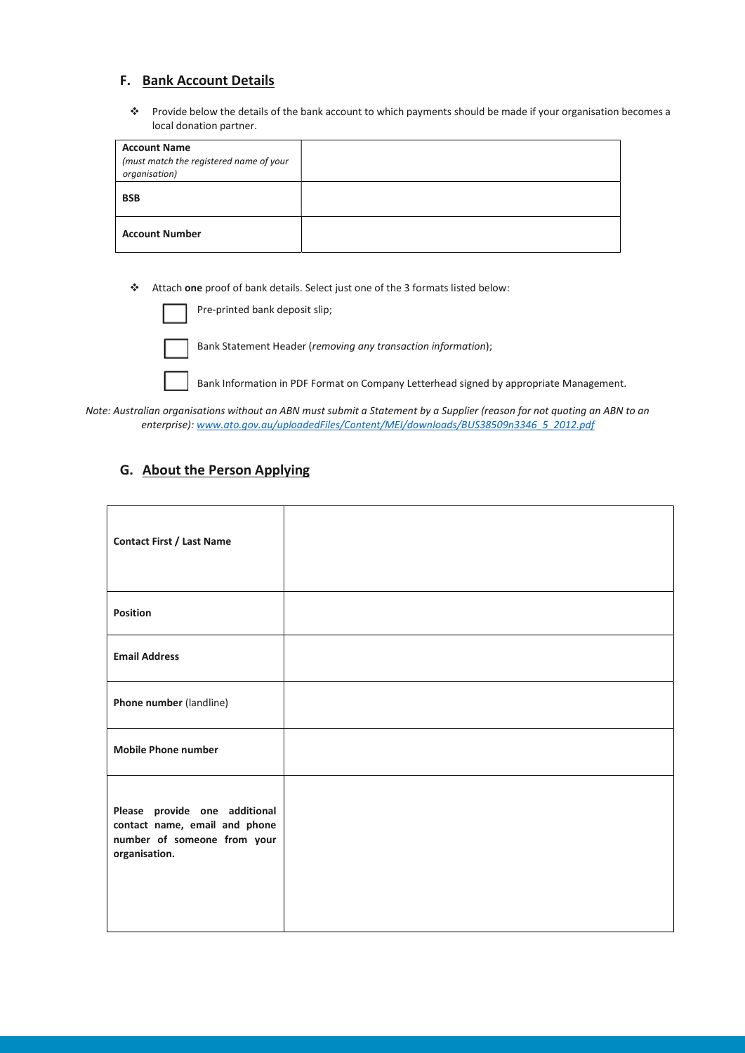## F. Bank Account Details

\* Provide below the details of the bank account to which payments should be made if your organisation becomes a local donation partner.

| <b>Account Name</b><br>(must match the registered name of your<br>organisation) |  |
|---------------------------------------------------------------------------------|--|
| <b>BSB</b>                                                                      |  |
| <b>Account Number</b>                                                           |  |

Attach one proof of bank details. Select just one of the 3 formats listed below:

|  | Pre-printed bank deposit slip; |  |
|--|--------------------------------|--|
|--|--------------------------------|--|

Bank Statement Header (removing any transaction information);

Bank Information in PDF Format on Company Letterhead signed by appropriate Management.

Note: Australian organisations without an ABN must submit a Statement by a Supplier (reason for not quoting an ABN to an enterprise): www.ato.gov.au/uploadedFiles/Content/MEI/downloads/BUS38509n3346\_5\_2012.pdf

## G. About the Person Applying

| <b>Contact First / Last Name</b>                                                                               |  |
|----------------------------------------------------------------------------------------------------------------|--|
| <b>Position</b>                                                                                                |  |
| <b>Email Address</b>                                                                                           |  |
| Phone number (landline)                                                                                        |  |
| <b>Mobile Phone number</b>                                                                                     |  |
| Please provide one additional<br>contact name, email and phone<br>number of someone from your<br>organisation. |  |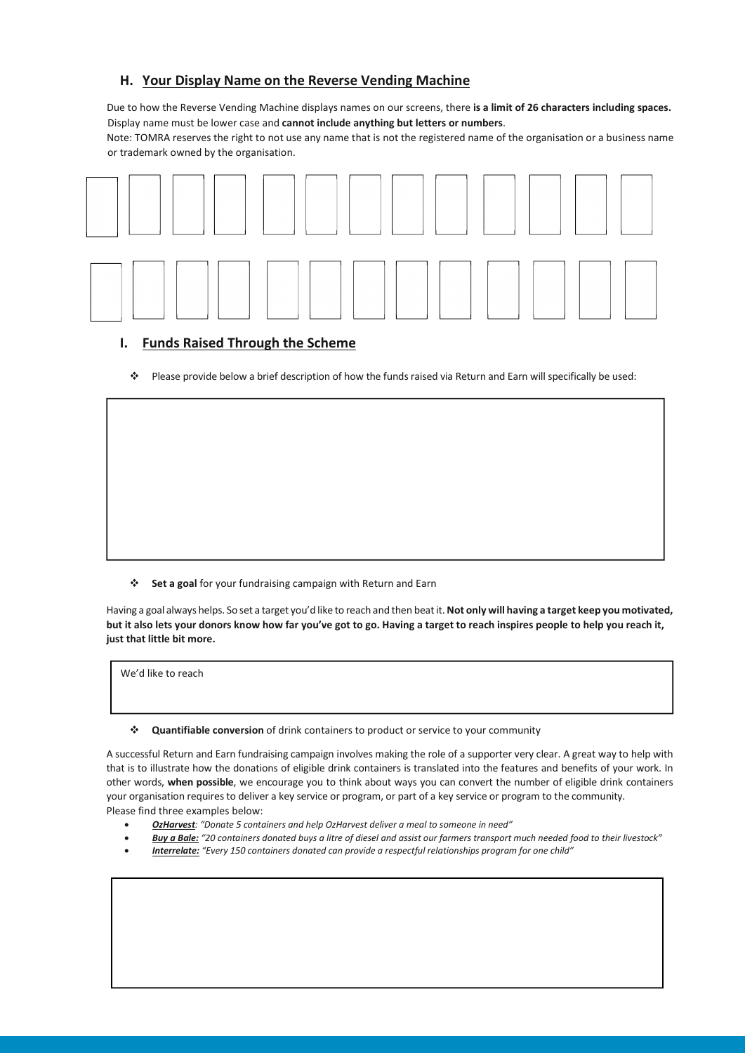## H. Your Display Name on the Reverse Vending Machine

Due to how the Reverse Vending Machine displays names on our screens, there is a limit of 26 characters including spaces. Display name must be lower case and cannot include anything but letters or numbers.

Note: TOMRA reserves the right to not use any name that is not the registered name of the organisation or a business name or trademark owned by the organisation.



## I. Funds Raised Through the Scheme

Please provide below a brief description of how the funds raised via Return and Earn will specifically be used:

Set a goal for your fundraising campaign with Return and Earn

Having a goal always helps. So set a target you'd like to reach and then beat it. Not only will having a target keep you motivated, but it also lets your donors know how far you've got to go. Having a target to reach inspires people to help you reach it, just that little bit more.

We'd like to reach

Quantifiable conversion of drink containers to product or service to your community

A successful Return and Earn fundraising campaign involves making the role of a supporter very clear. A great way to help with that is to illustrate how the donations of eligible drink containers is translated into the features and benefits of your work. In other words, when possible, we encourage you to think about ways you can convert the number of eligible drink containers your organisation requires to deliver a key service or program, or part of a key service or program to the community. Please find three examples below:

- OzHarvest: "Donate 5 containers and help OzHarvest deliver a meal to someone in need"
- Buy a Bale: "20 containers donated buys a litre of diesel and assist our farmers transport much needed food to their livestock"
- **Interrelate:** "Every 150 containers donated can provide a respectful relationships program for one child"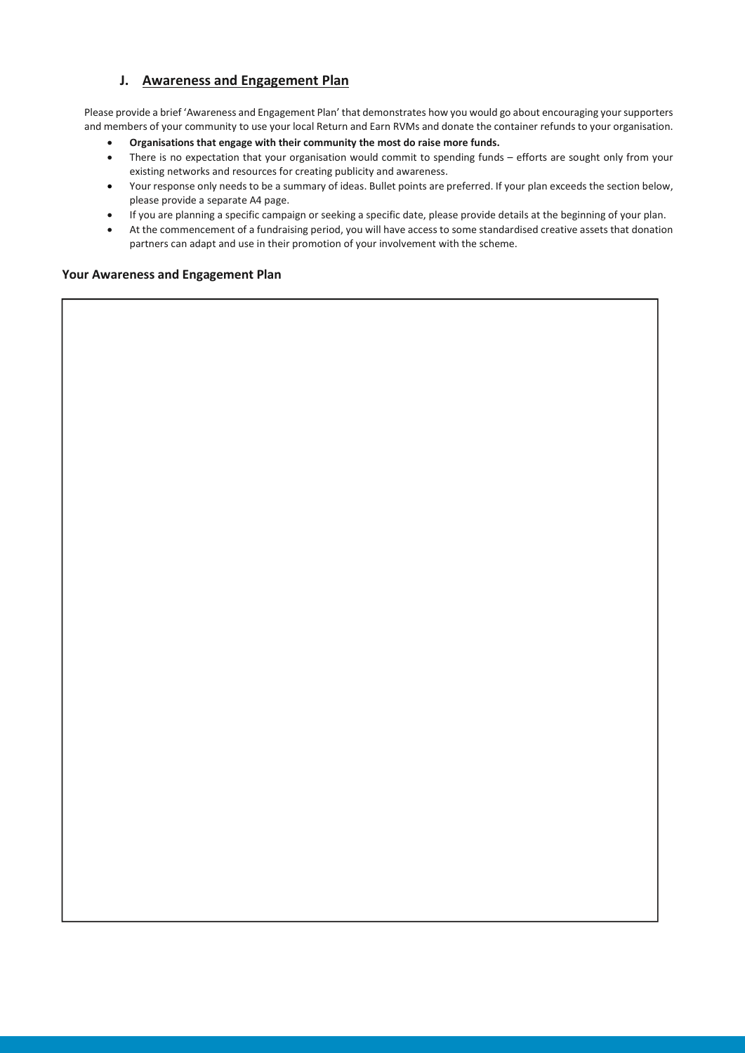## J. Awareness and Engagement Plan

Please provide a brief 'Awareness and Engagement Plan' that demonstrates how you would go about encouraging your supporters and members of your community to use your local Return and Earn RVMs and donate the container refunds to your organisation.

- Organisations that engage with their community the most do raise more funds.
- There is no expectation that your organisation would commit to spending funds efforts are sought only from your existing networks and resources for creating publicity and awareness.
- Your response only needs to be a summary of ideas. Bullet points are preferred. If your plan exceeds the section below, please provide a separate A4 page.
- If you are planning a specific campaign or seeking a specific date, please provide details at the beginning of your plan.
- At the commencement of a fundraising period, you will have access to some standardised creative assets that donation partners can adapt and use in their promotion of your involvement with the scheme.

#### Your Awareness and Engagement Plan